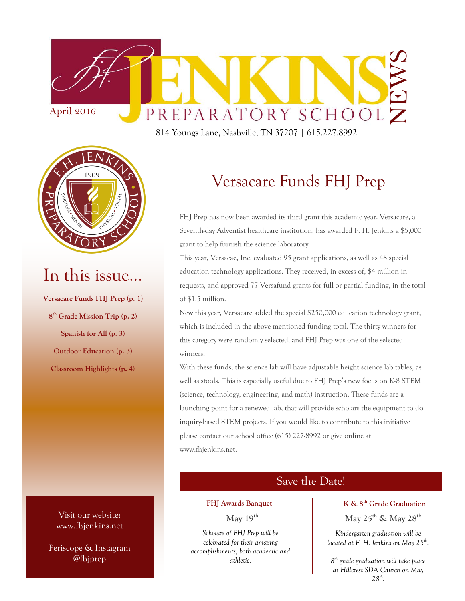

814 Youngs Lane, Nashville, TN 37207 | 615.227.8992



## In this issue…

**Versacare Funds FHJ Prep (p. 1) 8 th Grade Mission Trip (p. 2) Spanish for All (p. 3) Outdoor Education (p. 3) Classroom Highlights (p. 4)**

> Visit our website: www.fhjenkins.net

Periscope & Instagram @fhjprep

### Versacare Funds FHJ Prep

FHJ Prep has now been awarded its third grant this academic year. Versacare, a Seventh-day Adventist healthcare institution, has awarded F. H. Jenkins a \$5,000 grant to help furnish the science laboratory.

This year, Versacae, Inc. evaluated 95 grant applications, as well as 48 special education technology applications. They received, in excess of, \$4 million in requests, and approved 77 Versafund grants for full or partial funding, in the total of \$1.5 million.

New this year, Versacare added the special \$250,000 education technology grant, which is included in the above mentioned funding total. The thirty winners for this category were randomly selected, and FHJ Prep was one of the selected winners.

With these funds, the science lab will have adjustable height science lab tables, as well as stools. This is especially useful due to FHJ Prep's new focus on K-8 STEM (science, technology, engineering, and math) instruction. These funds are a launching point for a renewed lab, that will provide scholars the equipment to do inquiry-based STEM projects. If you would like to contribute to this initiative please contact our school office (615) 227-8992 or give online at www.fhjenkins.net.

### Save the Date!

#### **FHJ Awards Banquet**

**May 19th**

*Scholars of FHJ Prep will be celebrated for their amazing accomplishments, both academic and athletic.* 

#### **K & 8th Grade Graduation**

**May 25th & May 28th**

*Kindergarten graduation will be located at F. H. Jenkins on May 25th .*

*8 th grade graduation will take place at Hillcrest SDA Church on May 28th .*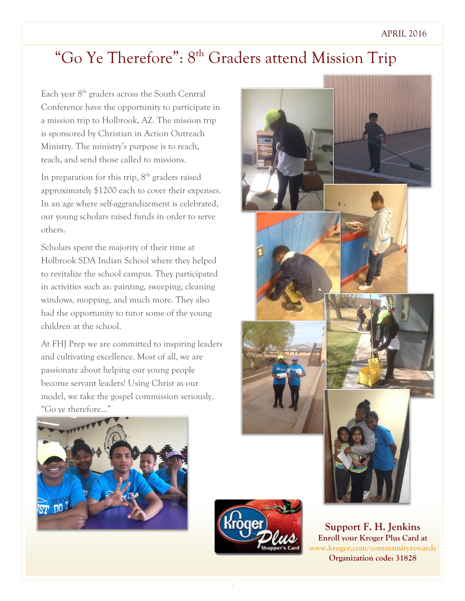# "Go Ye Therefore": 8<sup>th</sup> Graders attend Mission Trip

Each year  $8<sup>th</sup>$  graders across the South Central Conference have the opportunity to participate in a mission trip to Holbrook, AZ. The mission trip is sponsored by Christian in Action Outreach Ministry. The ministry's purpose is to reach, teach, and send those called to missions.

In preparation for this trip,  $8^{\rm th}$  graders raised approximately \$1200 each to cover their expenses. In an age where self-aggrandizement is celebrated, our young scholars raised funds in order to serve others.

Scholars spent the majority of their time at Holbrook SDA Indian School where they helped to revitalize the school campus. They participated in activities such as: painting, sweeping, cleaning windows, mopping, and much more. They also had the opportunity to tutor some of the young children at the school.

At FHJ Prep we are committed to inspiring leaders and cultivating excellence. Most of all, we are passionate about helping our young people become servant leaders! Using Christ as our model, we take the gospel commission seriously. "Go ye therefore…"







**Support F. H. Jenkins Enroll your Kroger Plus Card at www.kroger.com/communityrewards Organization code: 31828**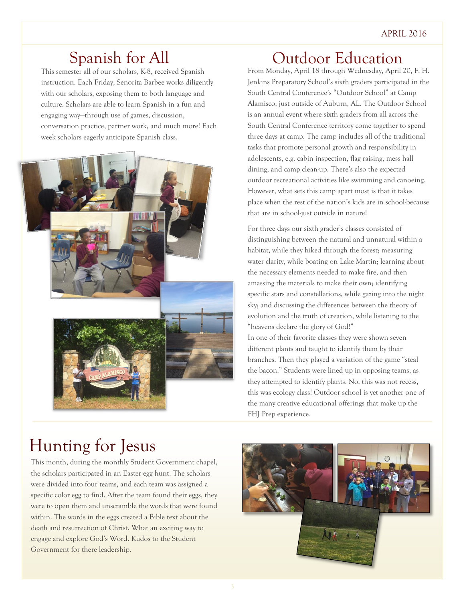## Spanish for All

This semester all of our scholars, K-8, received Spanish instruction. Each Friday, Senorita Barbee works diligently with our scholars, exposing them to both language and culture. Scholars are able to learn Spanish in a fun and engaging way—through use of games, discussion, conversation practice, partner work, and much more! Each week scholars eagerly anticipate Spanish class.



### Outdoor Education

From Monday, April 18 through Wednesday, April 20, F. H. Jenkins Preparatory School's sixth graders participated in the South Central Conference's "Outdoor School" at Camp Alamisco, just outside of Auburn, AL. The Outdoor School is an annual event where sixth graders from all across the South Central Conference territory come together to spend three days at camp. The camp includes all of the traditional tasks that promote personal growth and responsibility in adolescents, e.g. cabin inspection, flag raising, mess hall dining, and camp clean-up. There's also the expected outdoor recreational activities like swimming and canoeing. However, what sets this camp apart most is that it takes place when the rest of the nation's kids are in school-because that are in school-just outside in nature!

For three days our sixth grader's classes consisted of distinguishing between the natural and unnatural within a habitat, while they hiked through the forest; measuring water clarity, while boating on Lake Martin; learning about the necessary elements needed to make fire, and then amassing the materials to make their own; identifying specific stars and constellations, while gazing into the night sky; and discussing the differences between the theory of evolution and the truth of creation, while listening to the "heavens declare the glory of God!"

In one of their favorite classes they were shown seven different plants and taught to identify them by their branches. Then they played a variation of the game "steal the bacon." Students were lined up in opposing teams, as they attempted to identify plants. No, this was not recess, this was ecology class! Outdoor school is yet another one of the many creative educational offerings that make up the FHJ Prep experience.

# Hunting for Jesus

This month, during the monthly Student Government chapel, the scholars participated in an Easter egg hunt. The scholars were divided into four teams, and each team was assigned a specific color egg to find. After the team found their eggs, they were to open them and unscramble the words that were found within. The words in the eggs created a Bible text about the death and resurrection of Christ. What an exciting way to engage and explore God's Word. Kudos to the Student Government for there leadership.